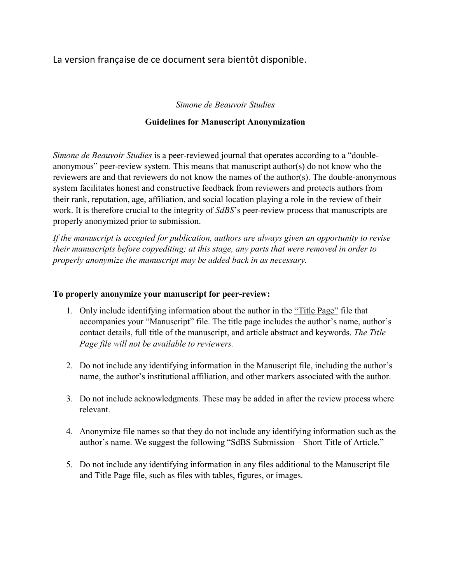La version française de ce document sera bientôt disponible.

## *Simone de Beauvoir Studies*

## **Guidelines for Manuscript Anonymization**

*Simone de Beauvoir Studies* is a peer-reviewed journal that operates according to a "doubleanonymous" peer-review system. This means that manuscript author(s) do not know who the reviewers are and that reviewers do not know the names of the author(s). The double-anonymous system facilitates honest and constructive feedback from reviewers and protects authors from their rank, reputation, age, affiliation, and social location playing a role in the review of their work. It is therefore crucial to the integrity of *SdBS*'s peer-review process that manuscripts are properly anonymized prior to submission.

*If the manuscript is accepted for publication, authors are always given an opportunity to revise their manuscripts before copyediting; at this stage, any parts that were removed in order to properly anonymize the manuscript may be added back in as necessary.*

## **To properly anonymize your manuscript for peer-review:**

- 1. Only include identifying information about the author in the "Title Page" file that accompanies your "Manuscript" file. The title page includes the author's name, author's contact details, full title of the manuscript, and article abstract and keywords. *The Title Page file will not be available to reviewers.*
- 2. Do not include any identifying information in the Manuscript file, including the author's name, the author's institutional affiliation, and other markers associated with the author.
- 3. Do not include acknowledgments. These may be added in after the review process where relevant.
- 4. Anonymize file names so that they do not include any identifying information such as the author's name. We suggest the following "SdBS Submission – Short Title of Article."
- 5. Do not include any identifying information in any files additional to the Manuscript file and Title Page file, such as files with tables, figures, or images.